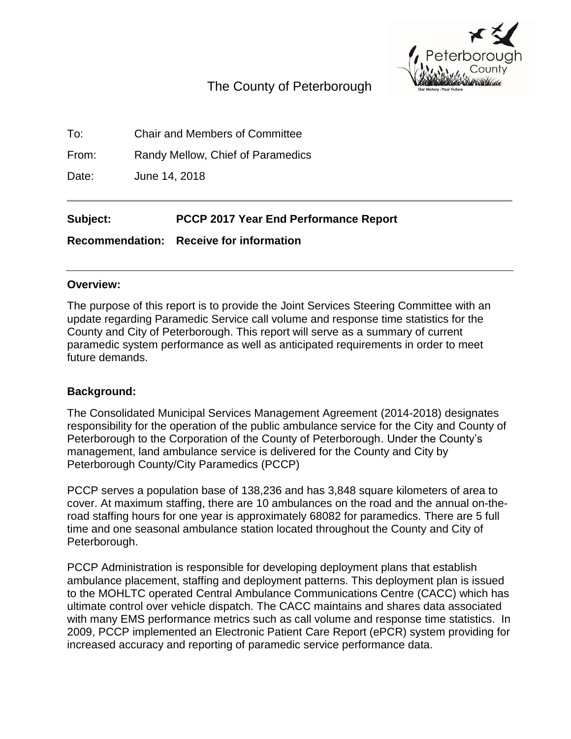

# The County of Peterborough

To: Chair and Members of Committee

From: Randy Mellow, Chief of Paramedics

Date: June 14, 2018

**Subject: PCCP 2017 Year End Performance Report**

**Recommendation: Receive for information**

#### **Overview:**

The purpose of this report is to provide the Joint Services Steering Committee with an update regarding Paramedic Service call volume and response time statistics for the County and City of Peterborough. This report will serve as a summary of current paramedic system performance as well as anticipated requirements in order to meet future demands.

#### **Background:**

The Consolidated Municipal Services Management Agreement (2014-2018) designates responsibility for the operation of the public ambulance service for the City and County of Peterborough to the Corporation of the County of Peterborough. Under the County's management, land ambulance service is delivered for the County and City by Peterborough County/City Paramedics (PCCP)

PCCP serves a population base of 138,236 and has 3,848 square kilometers of area to cover. At maximum staffing, there are 10 ambulances on the road and the annual on-theroad staffing hours for one year is approximately 68082 for paramedics. There are 5 full time and one seasonal ambulance station located throughout the County and City of Peterborough.

PCCP Administration is responsible for developing deployment plans that establish ambulance placement, staffing and deployment patterns. This deployment plan is issued to the MOHLTC operated Central Ambulance Communications Centre (CACC) which has ultimate control over vehicle dispatch. The CACC maintains and shares data associated with many EMS performance metrics such as call volume and response time statistics. In 2009, PCCP implemented an Electronic Patient Care Report (ePCR) system providing for increased accuracy and reporting of paramedic service performance data.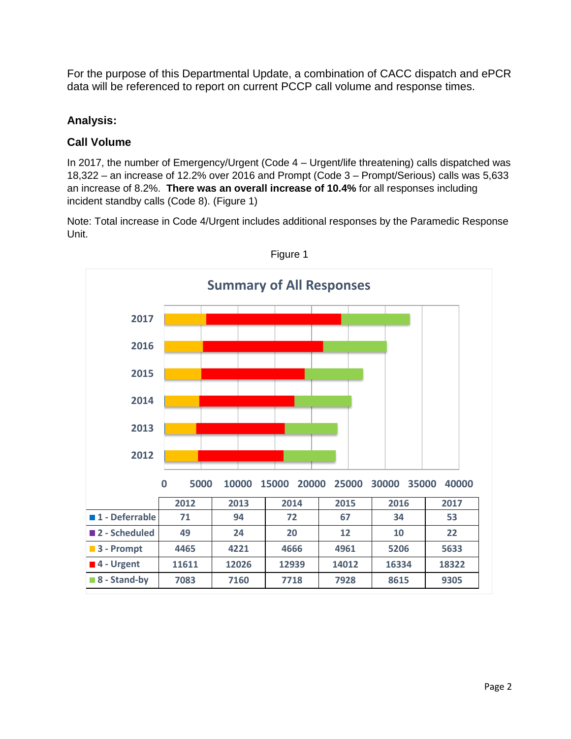For the purpose of this Departmental Update, a combination of CACC dispatch and ePCR data will be referenced to report on current PCCP call volume and response times.

#### **Analysis:**

### **Call Volume**

In 2017, the number of Emergency/Urgent (Code 4 – Urgent/life threatening) calls dispatched was 18,322 – an increase of 12.2% over 2016 and Prompt (Code 3 – Prompt/Serious) calls was 5,633 an increase of 8.2%. **There was an overall increase of 10.4%** for all responses including incident standby calls (Code 8). (Figure 1)

Note: Total increase in Code 4/Urgent includes additional responses by the Paramedic Response Unit.



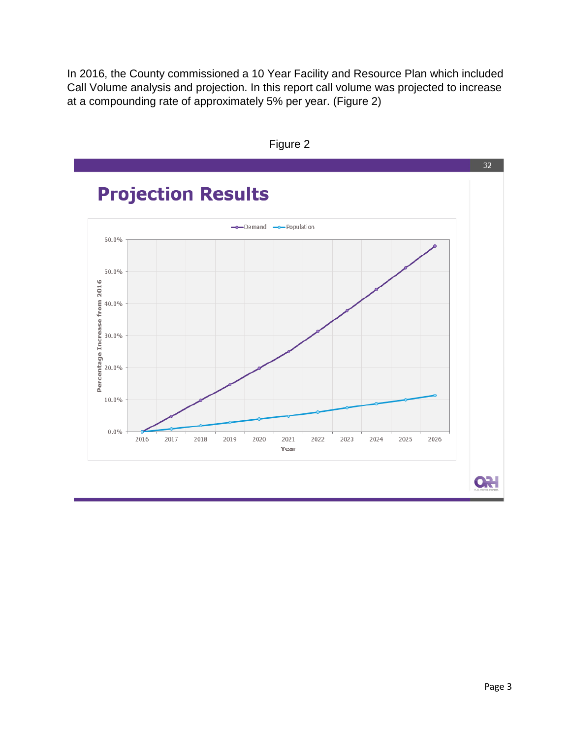In 2016, the County commissioned a 10 Year Facility and Resource Plan which included Call Volume analysis and projection. In this report call volume was projected to increase at a compounding rate of approximately 5% per year. (Figure 2)



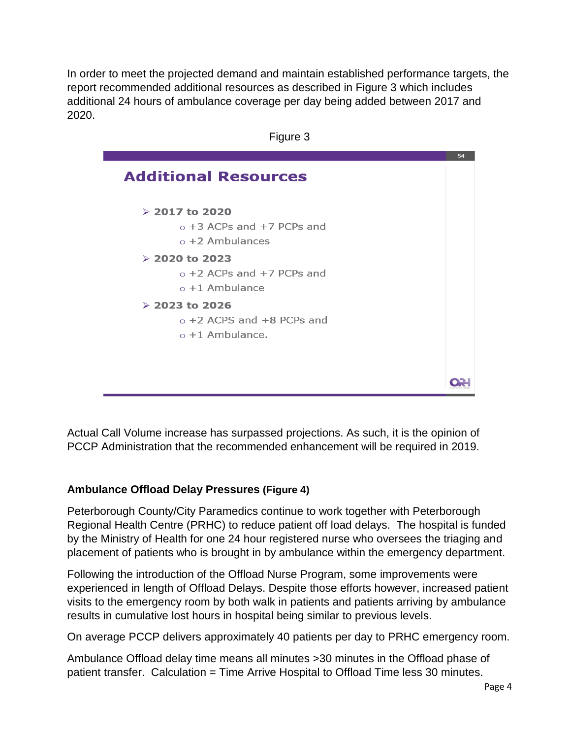In order to meet the projected demand and maintain established performance targets, the report recommended additional resources as described in Figure 3 which includes additional 24 hours of ambulance coverage per day being added between 2017 and 2020.



Actual Call Volume increase has surpassed projections. As such, it is the opinion of PCCP Administration that the recommended enhancement will be required in 2019.

#### **Ambulance Offload Delay Pressures (Figure 4)**

Peterborough County/City Paramedics continue to work together with Peterborough Regional Health Centre (PRHC) to reduce patient off load delays. The hospital is funded by the Ministry of Health for one 24 hour registered nurse who oversees the triaging and placement of patients who is brought in by ambulance within the emergency department.

Following the introduction of the Offload Nurse Program, some improvements were experienced in length of Offload Delays. Despite those efforts however, increased patient visits to the emergency room by both walk in patients and patients arriving by ambulance results in cumulative lost hours in hospital being similar to previous levels.

On average PCCP delivers approximately 40 patients per day to PRHC emergency room.

Ambulance Offload delay time means all minutes >30 minutes in the Offload phase of patient transfer. Calculation = Time Arrive Hospital to Offload Time less 30 minutes.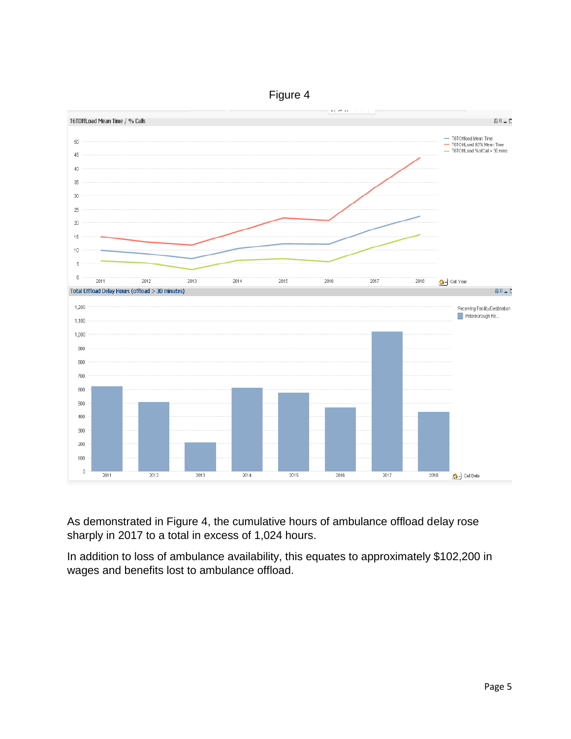

As demonstrated in Figure 4, the cumulative hours of ambulance offload delay rose sharply in 2017 to a total in excess of 1,024 hours.

In addition to loss of ambulance availability, this equates to approximately \$102,200 in wages and benefits lost to ambulance offload.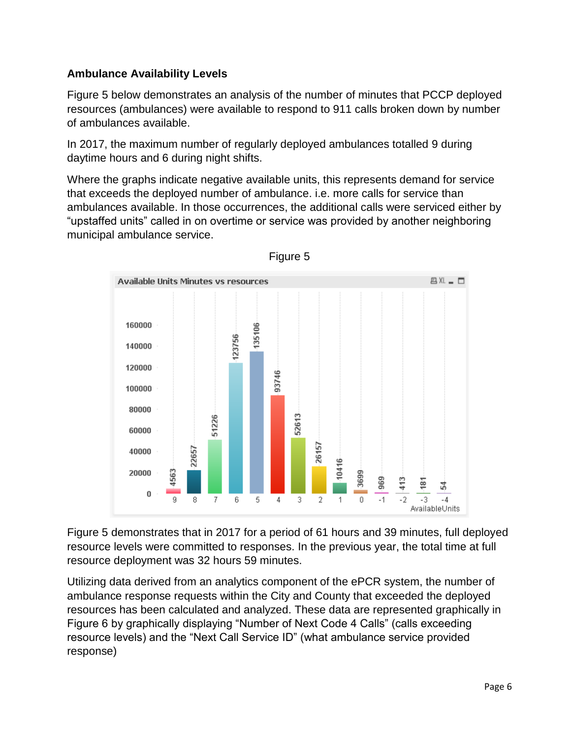## **Ambulance Availability Levels**

Figure 5 below demonstrates an analysis of the number of minutes that PCCP deployed resources (ambulances) were available to respond to 911 calls broken down by number of ambulances available.

In 2017, the maximum number of regularly deployed ambulances totalled 9 during daytime hours and 6 during night shifts.

Where the graphs indicate negative available units, this represents demand for service that exceeds the deployed number of ambulance. i.e. more calls for service than ambulances available. In those occurrences, the additional calls were serviced either by "upstaffed units" called in on overtime or service was provided by another neighboring municipal ambulance service.



Figure 5

Figure 5 demonstrates that in 2017 for a period of 61 hours and 39 minutes, full deployed resource levels were committed to responses. In the previous year, the total time at full resource deployment was 32 hours 59 minutes.

Utilizing data derived from an analytics component of the ePCR system, the number of ambulance response requests within the City and County that exceeded the deployed resources has been calculated and analyzed. These data are represented graphically in Figure 6 by graphically displaying "Number of Next Code 4 Calls" (calls exceeding resource levels) and the "Next Call Service ID" (what ambulance service provided response)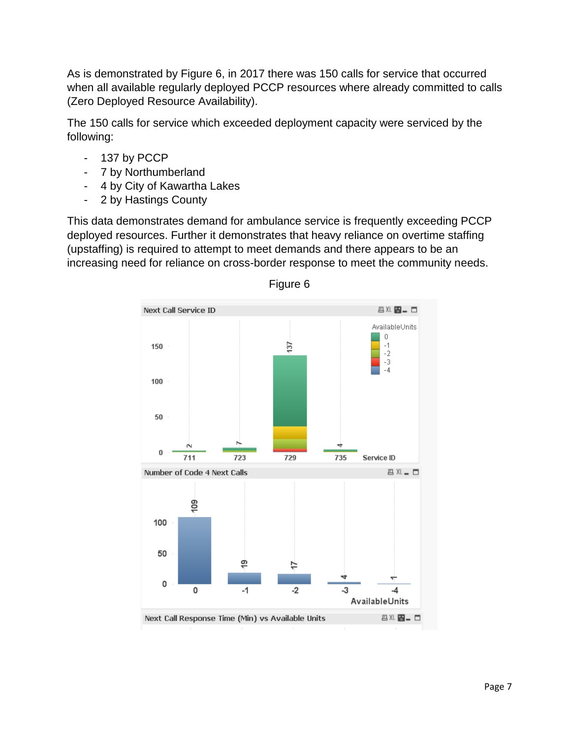As is demonstrated by Figure 6, in 2017 there was 150 calls for service that occurred when all available regularly deployed PCCP resources where already committed to calls (Zero Deployed Resource Availability).

The 150 calls for service which exceeded deployment capacity were serviced by the following:

- 137 by PCCP
- 7 by Northumberland
- 4 by City of Kawartha Lakes
- 2 by Hastings County

This data demonstrates demand for ambulance service is frequently exceeding PCCP deployed resources. Further it demonstrates that heavy reliance on overtime staffing (upstaffing) is required to attempt to meet demands and there appears to be an increasing need for reliance on cross-border response to meet the community needs.



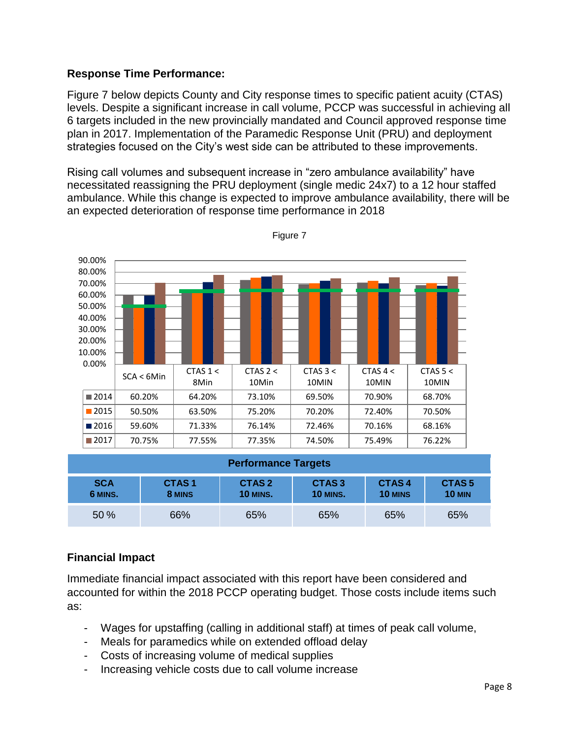#### **Response Time Performance:**

Figure 7 below depicts County and City response times to specific patient acuity (CTAS) levels. Despite a significant increase in call volume, PCCP was successful in achieving all 6 targets included in the new provincially mandated and Council approved response time plan in 2017. Implementation of the Paramedic Response Unit (PRU) and deployment strategies focused on the City's west side can be attributed to these improvements.

Rising call volumes and subsequent increase in "zero ambulance availability" have necessitated reassigning the PRU deployment (single medic 24x7) to a 12 hour staffed ambulance. While this change is expected to improve ambulance availability, there will be an expected deterioration of response time performance in 2018



Figure 7

| <b>Performance Targets</b> |                             |                                      |                                      |                  |                                    |
|----------------------------|-----------------------------|--------------------------------------|--------------------------------------|------------------|------------------------------------|
| <b>SCA</b><br>6 MINS.      | CTAS <sub>1</sub><br>8 MINS | CTAS <sub>2</sub><br><b>10 MINS.</b> | CTAS <sub>3</sub><br><b>10 MINS.</b> | CTAS4<br>10 MINS | CTAS <sub>5</sub><br><b>10 MIN</b> |
| 50 %                       | 66%                         | 65%                                  | 65%                                  | 65%              | 65%                                |

## **Financial Impact**

Immediate financial impact associated with this report have been considered and accounted for within the 2018 PCCP operating budget. Those costs include items such as:

- Wages for upstaffing (calling in additional staff) at times of peak call volume,
- Meals for paramedics while on extended offload delay
- Costs of increasing volume of medical supplies
- Increasing vehicle costs due to call volume increase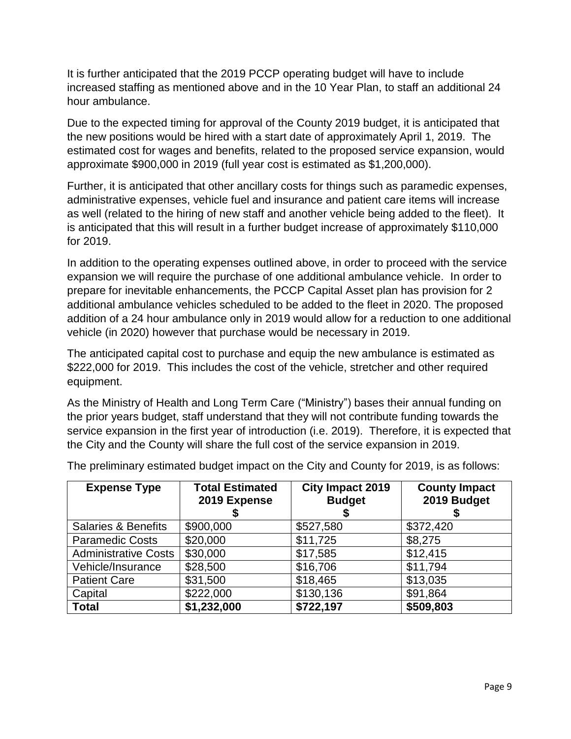It is further anticipated that the 2019 PCCP operating budget will have to include increased staffing as mentioned above and in the 10 Year Plan, to staff an additional 24 hour ambulance.

Due to the expected timing for approval of the County 2019 budget, it is anticipated that the new positions would be hired with a start date of approximately April 1, 2019. The estimated cost for wages and benefits, related to the proposed service expansion, would approximate \$900,000 in 2019 (full year cost is estimated as \$1,200,000).

Further, it is anticipated that other ancillary costs for things such as paramedic expenses, administrative expenses, vehicle fuel and insurance and patient care items will increase as well (related to the hiring of new staff and another vehicle being added to the fleet). It is anticipated that this will result in a further budget increase of approximately \$110,000 for 2019.

In addition to the operating expenses outlined above, in order to proceed with the service expansion we will require the purchase of one additional ambulance vehicle. In order to prepare for inevitable enhancements, the PCCP Capital Asset plan has provision for 2 additional ambulance vehicles scheduled to be added to the fleet in 2020. The proposed addition of a 24 hour ambulance only in 2019 would allow for a reduction to one additional vehicle (in 2020) however that purchase would be necessary in 2019.

The anticipated capital cost to purchase and equip the new ambulance is estimated as \$222,000 for 2019. This includes the cost of the vehicle, stretcher and other required equipment.

As the Ministry of Health and Long Term Care ("Ministry") bases their annual funding on the prior years budget, staff understand that they will not contribute funding towards the service expansion in the first year of introduction (i.e. 2019). Therefore, it is expected that the City and the County will share the full cost of the service expansion in 2019.

| <b>Expense Type</b>            | <b>Total Estimated</b><br>2019 Expense | <b>City Impact 2019</b><br><b>Budget</b> | <b>County Impact</b><br>2019 Budget |
|--------------------------------|----------------------------------------|------------------------------------------|-------------------------------------|
| <b>Salaries &amp; Benefits</b> | \$900,000                              | \$527,580                                | \$372,420                           |
| <b>Paramedic Costs</b>         | \$20,000                               | \$11,725                                 | \$8,275                             |
| <b>Administrative Costs</b>    | \$30,000                               | \$17,585                                 | \$12,415                            |
| Vehicle/Insurance              | \$28,500                               | \$16,706                                 | \$11,794                            |
| <b>Patient Care</b>            | \$31,500                               | \$18,465                                 | \$13,035                            |
| Capital                        | \$222,000                              | \$130,136                                | \$91,864                            |
| <b>Total</b>                   | \$1,232,000                            | \$722,197                                | \$509,803                           |

The preliminary estimated budget impact on the City and County for 2019, is as follows: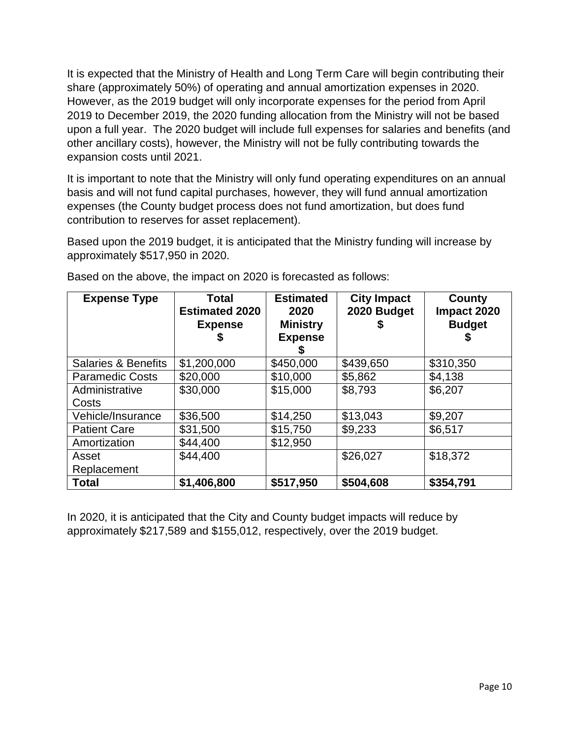It is expected that the Ministry of Health and Long Term Care will begin contributing their share (approximately 50%) of operating and annual amortization expenses in 2020. However, as the 2019 budget will only incorporate expenses for the period from April 2019 to December 2019, the 2020 funding allocation from the Ministry will not be based upon a full year. The 2020 budget will include full expenses for salaries and benefits (and other ancillary costs), however, the Ministry will not be fully contributing towards the expansion costs until 2021.

It is important to note that the Ministry will only fund operating expenditures on an annual basis and will not fund capital purchases, however, they will fund annual amortization expenses (the County budget process does not fund amortization, but does fund contribution to reserves for asset replacement).

Based upon the 2019 budget, it is anticipated that the Ministry funding will increase by approximately \$517,950 in 2020.

| <b>Expense Type</b>            | <b>Total</b><br><b>Estimated 2020</b><br><b>Expense</b><br>ъ | <b>Estimated</b><br>2020<br><b>Ministry</b><br><b>Expense</b> | <b>City Impact</b><br>2020 Budget | County<br>Impact 2020<br><b>Budget</b> |
|--------------------------------|--------------------------------------------------------------|---------------------------------------------------------------|-----------------------------------|----------------------------------------|
| <b>Salaries &amp; Benefits</b> | \$1,200,000                                                  | \$450,000                                                     | \$439,650                         | \$310,350                              |
| <b>Paramedic Costs</b>         | \$20,000                                                     | \$10,000                                                      | \$5,862                           | \$4,138                                |
| Administrative<br>Costs        | \$30,000                                                     | \$15,000                                                      | \$8,793                           | \$6,207                                |
| Vehicle/Insurance              | \$36,500                                                     | \$14,250                                                      | \$13,043                          | \$9,207                                |
| <b>Patient Care</b>            | \$31,500                                                     | \$15,750                                                      | \$9,233                           | \$6,517                                |
| Amortization                   | \$44,400                                                     | \$12,950                                                      |                                   |                                        |
| Asset                          | \$44,400                                                     |                                                               | \$26,027                          | \$18,372                               |
| Replacement                    |                                                              |                                                               |                                   |                                        |
| <b>Total</b>                   | \$1,406,800                                                  | \$517,950                                                     | \$504,608                         | \$354,791                              |

Based on the above, the impact on 2020 is forecasted as follows:

In 2020, it is anticipated that the City and County budget impacts will reduce by approximately \$217,589 and \$155,012, respectively, over the 2019 budget.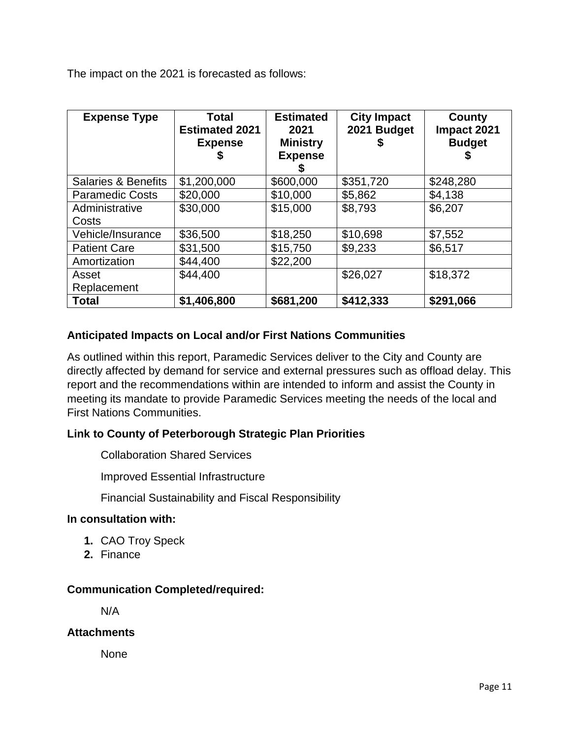The impact on the 2021 is forecasted as follows:

| <b>Expense Type</b>            | Total<br><b>Estimated 2021</b><br><b>Expense</b> | <b>Estimated</b><br>2021<br><b>Ministry</b><br><b>Expense</b> | <b>City Impact</b><br>2021 Budget<br>\$ | County<br>Impact 2021<br><b>Budget</b> |
|--------------------------------|--------------------------------------------------|---------------------------------------------------------------|-----------------------------------------|----------------------------------------|
| <b>Salaries &amp; Benefits</b> | \$1,200,000                                      | \$600,000                                                     | \$351,720                               | \$248,280                              |
| <b>Paramedic Costs</b>         | \$20,000                                         | \$10,000                                                      | \$5,862                                 | \$4,138                                |
| Administrative                 | \$30,000                                         | \$15,000                                                      | \$8,793                                 | \$6,207                                |
| Costs                          |                                                  |                                                               |                                         |                                        |
| Vehicle/Insurance              | \$36,500                                         | \$18,250                                                      | \$10,698                                | \$7,552                                |
| <b>Patient Care</b>            | \$31,500                                         | \$15,750                                                      | \$9,233                                 | \$6,517                                |
| Amortization                   | \$44,400                                         | \$22,200                                                      |                                         |                                        |
| Asset                          | \$44,400                                         |                                                               | \$26,027                                | \$18,372                               |
| Replacement                    |                                                  |                                                               |                                         |                                        |
| <b>Total</b>                   | \$1,406,800                                      | \$681,200                                                     | \$412,333                               | \$291,066                              |

#### **Anticipated Impacts on Local and/or First Nations Communities**

As outlined within this report, Paramedic Services deliver to the City and County are directly affected by demand for service and external pressures such as offload delay. This report and the recommendations within are intended to inform and assist the County in meeting its mandate to provide Paramedic Services meeting the needs of the local and First Nations Communities.

#### **Link to County of Peterborough Strategic Plan Priorities**

Collaboration Shared Services

Improved Essential Infrastructure

Financial Sustainability and Fiscal Responsibility

#### **In consultation with:**

- **1.** CAO Troy Speck
- **2.** Finance

#### **Communication Completed/required:**

N/A

#### **Attachments**

None